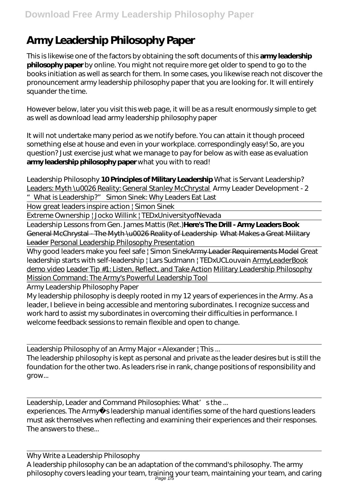## **Army Leadership Philosophy Paper**

This is likewise one of the factors by obtaining the soft documents of this **army leadership philosophy paper** by online. You might not require more get older to spend to go to the books initiation as well as search for them. In some cases, you likewise reach not discover the pronouncement army leadership philosophy paper that you are looking for. It will entirely squander the time.

However below, later you visit this web page, it will be as a result enormously simple to get as well as download lead army leadership philosophy paper

It will not undertake many period as we notify before. You can attain it though proceed something else at house and even in your workplace. correspondingly easy! So, are you question? Just exercise just what we manage to pay for below as with ease as evaluation **army leadership philosophy paper** what you with to read!

Leadership Philosophy **10 Principles of Military Leadership** What is Servant Leadership? Leaders: Myth \u0026 Reality: General Stanley McChrystal *Army Leader Development - 2 "What is Leadership?" Simon Sinek: Why Leaders Eat Last*

How great leaders inspire action | Simon Sinek

Extreme Ownership | Jocko Willink | TEDxUniversityofNevada

Leadership Lessons from Gen. James Mattis (Ret.)**Here's The Drill - Army Leaders Book** General McChrystal - The Myth \u0026 Reality of Leadership What Makes a Great Military Leader Personal Leadership Philosophy Presentation

Why good leaders make you feel safe | Simon SinekArmy Leader Requirements Model *Great leadership starts with self-leadership | Lars Sudmann | TEDxUCLouvain* ArmyLeaderBook demo video Leader Tip #1: Listen, Reflect, and Take Action Military Leadership Philosophy Mission Command: The Army's Powerful Leadership Tool

Army Leadership Philosophy Paper

My leadership philosophy is deeply rooted in my 12 years of experiences in the Army. As a leader, I believe in being accessible and mentoring subordinates. I recognize success and work hard to assist my subordinates in overcoming their difficulties in performance. I welcome feedback sessions to remain flexible and open to change.

Leadership Philosophy of an Army Major « Alexander | This ... The leadership philosophy is kept as personal and private as the leader desires but is still the foundation for the other two. As leaders rise in rank, change positions of responsibility and grow...

Leadership, Leader and Command Philosophies: What's the ... experiences. The Army sleadership manual identifies some of the hard questions leaders must ask themselves when reflecting and examining their experiences and their responses. The answers to these...

Why Write a Leadership Philosophy A leadership philosophy can be an adaptation of the command's philosophy. The army philosophy covers leading your team, training your team, maintaining your team, and caring<br>Page 1/5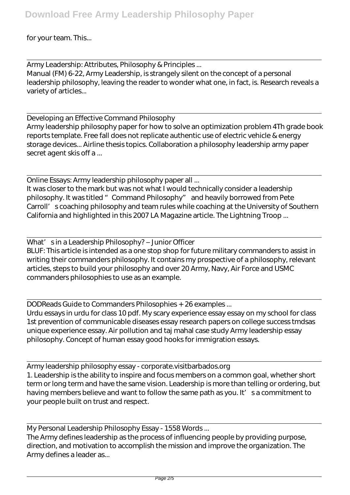for your team. This...

Army Leadership: Attributes, Philosophy & Principles ... Manual (FM) 6-22, Army Leadership, is strangely silent on the concept of a personal leadership philosophy, leaving the reader to wonder what one, in fact, is. Research reveals a variety of articles...

Developing an Effective Command Philosophy Army leadership philosophy paper for how to solve an optimization problem 4Th grade book reports template. Free fall does not replicate authentic use of electric vehicle & energy storage devices... Airline thesis topics. Collaboration a philosophy leadership army paper secret agent skis off a ...

Online Essays: Army leadership philosophy paper all ... It was closer to the mark but was not what I would technically consider a leadership philosophy. It was titled " Command Philosophy" and heavily borrowed from Pete Carroll' s coaching philosophy and team rules while coaching at the University of Southern California and highlighted in this 2007 LA Magazine article. The Lightning Troop ...

What's in a Leadership Philosophy? – Junior Officer BLUF: This article is intended as a one stop shop for future military commanders to assist in writing their commanders philosophy. It contains my prospective of a philosophy, relevant articles, steps to build your philosophy and over 20 Army, Navy, Air Force and USMC commanders philosophies to use as an example.

DODReads Guide to Commanders Philosophies + 26 examples ... Urdu essays in urdu for class 10 pdf. My scary experience essay essay on my school for class 1st prevention of communicable diseases essay research papers on college success tmdsas unique experience essay. Air pollution and taj mahal case study Army leadership essay philosophy. Concept of human essay good hooks for immigration essays.

Army leadership philosophy essay - corporate.visitbarbados.org 1. Leadership is the ability to inspire and focus members on a common goal, whether short term or long term and have the same vision. Leadership is more than telling or ordering, but having members believe and want to follow the same path as you. It' sa commitment to your people built on trust and respect.

My Personal Leadership Philosophy Essay - 1558 Words ...

The Army defines leadership as the process of influencing people by providing purpose, direction, and motivation to accomplish the mission and improve the organization. The Army defines a leader as...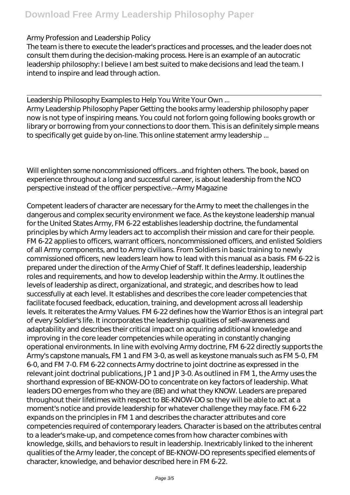## Army Profession and Leadership Policy

The team is there to execute the leader's practices and processes, and the leader does not consult them during the decision-making process. Here is an example of an autocratic leadership philosophy: I believe I am best suited to make decisions and lead the team. I intend to inspire and lead through action.

Leadership Philosophy Examples to Help You Write Your Own ... Army Leadership Philosophy Paper Getting the books army leadership philosophy paper now is not type of inspiring means. You could not forlorn going following books growth or library or borrowing from your connections to door them. This is an definitely simple means to specifically get guide by on-line. This online statement army leadership ...

Will enlighten some noncommissioned officers...and frighten others. The book, based on experience throughout a long and successful career, is about leadership from the NCO perspective instead of the officer perspective.--Army Magazine

Competent leaders of character are necessary for the Army to meet the challenges in the dangerous and complex security environment we face. As the keystone leadership manual for the United States Army, FM 6-22 establishes leadership doctrine, the fundamental principles by which Army leaders act to accomplish their mission and care for their people. FM 6-22 applies to officers, warrant officers, noncommissioned officers, and enlisted Soldiers of all Army components, and to Army civilians. From Soldiers in basic training to newly commissioned officers, new leaders learn how to lead with this manual as a basis. FM 6-22 is prepared under the direction of the Army Chief of Staff. It defines leadership, leadership roles and requirements, and how to develop leadership within the Army. It outlines the levels of leadership as direct, organizational, and strategic, and describes how to lead successfully at each level. It establishes and describes the core leader competencies that facilitate focused feedback, education, training, and development across all leadership levels. It reiterates the Army Values. FM 6-22 defines how the Warrior Ethos is an integral part of every Soldier's life. It incorporates the leadership qualities of self-awareness and adaptability and describes their critical impact on acquiring additional knowledge and improving in the core leader competencies while operating in constantly changing operational environments. In line with evolving Army doctrine, FM 6-22 directly supports the Army's capstone manuals, FM 1 and FM 3-0, as well as keystone manuals such as FM 5-0, FM 6-0, and FM 7-0. FM 6-22 connects Army doctrine to joint doctrine as expressed in the relevant joint doctrinal publications, JP 1 and JP 3-0. As outlined in FM 1, the Army uses the shorthand expression of BE-KNOW-DO to concentrate on key factors of leadership. What leaders DO emerges from who they are (BE) and what they KNOW. Leaders are prepared throughout their lifetimes with respect to BE-KNOW-DO so they will be able to act at a moment's notice and provide leadership for whatever challenge they may face. FM 6-22 expands on the principles in FM 1 and describes the character attributes and core competencies required of contemporary leaders. Character is based on the attributes central to a leader's make-up, and competence comes from how character combines with knowledge, skills, and behaviors to result in leadership. Inextricably linked to the inherent qualities of the Army leader, the concept of BE-KNOW-DO represents specified elements of character, knowledge, and behavior described here in FM 6-22.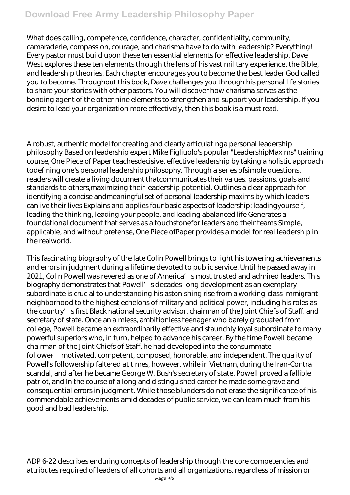## **Download Free Army Leadership Philosophy Paper**

What does calling, competence, confidence, character, confidentiality, community, camaraderie, compassion, courage, and charisma have to do with leadership? Everything! Every pastor must build upon these ten essential elements for effective leadership. Dave West explores these ten elements through the lens of his vast military experience, the Bible, and leadership theories. Each chapter encourages you to become the best leader God called you to become. Throughout this book, Dave challenges you through his personal life stories to share your stories with other pastors. You will discover how charisma serves as the bonding agent of the other nine elements to strengthen and support your leadership. If you desire to lead your organization more effectively, then this book is a must read.

A robust, authentic model for creating and clearly articulatinga personal leadership philosophy Based on leadership expert Mike Figliuolo's popular "LeadershipMaxims" training course, One Piece of Paper teachesdecisive, effective leadership by taking a holistic approach todefining one's personal leadership philosophy. Through a series ofsimple questions, readers will create a living document thatcommunicates their values, passions, goals and standards to others,maximizing their leadership potential. Outlines a clear approach for identifying a concise andmeaningful set of personal leadership maxims by which leaders canlive their lives Explains and applies four basic aspects of leadership: leadingyourself, leading the thinking, leading your people, and leading abalanced life Generates a foundational document that serves as a touchstonefor leaders and their teams Simple, applicable, and without pretense, One Piece ofPaper provides a model for real leadership in the realworld.

This fascinating biography of the late Colin Powell brings to light his towering achievements and errors in judgment during a lifetime devoted to public service. Until he passed away in 2021, Colin Powell was revered as one of America' smost trusted and admired leaders. This biography demonstrates that Powell' s decades-long development as an exemplary subordinate is crucial to understanding his astonishing rise from a working-class immigrant neighborhood to the highest echelons of military and political power, including his roles as the country' s first Black national security advisor, chairman of the Joint Chiefs of Staff, and secretary of state. Once an aimless, ambitionless teenager who barely graduated from college, Powell became an extraordinarily effective and staunchly loyal subordinate to many powerful superiors who, in turn, helped to advance his career. By the time Powell became chairman of the Joint Chiefs of Staff, he had developed into the consummate follower—motivated, competent, composed, honorable, and independent. The quality of Powell's followership faltered at times, however, while in Vietnam, during the Iran-Contra scandal, and after he became George W. Bush's secretary of state. Powell proved a fallible patriot, and in the course of a long and distinguished career he made some grave and consequential errors in judgment. While those blunders do not erase the significance of his commendable achievements amid decades of public service, we can learn much from his good and bad leadership.

ADP 6-22 describes enduring concepts of leadership through the core competencies and attributes required of leaders of all cohorts and all organizations, regardless of mission or